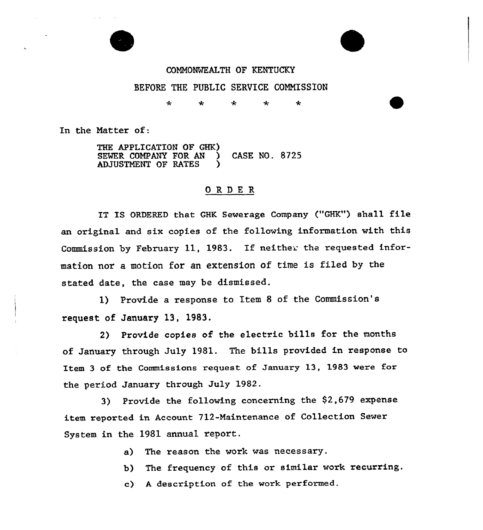

## CONN0%KALTH OF KENTUCKY BEFORE THE PUBLIC SERVICE CONNISSION

÷  $\star$ ÷ ÷  $\star$ 

In the Natter of:

THE APPLICATION OF GHK) SEWER COMPANY FOR AN ) CASE NO. 8725 ADJUSTMENT OF RATES

## ORDER

IT IS ORDERED that GHK Sewerage Company ("GHK") shall file an original and six copies of the following information with this Commission by February 11, 1983. If neither the requested information nor a motion for an extension of time is filed by the stated date, the case may be dismissed.

1) Provide a response to Item <sup>8</sup> of the Commission's request of January 13, 1983.

2) Provide copies of the electric bills for the months of January through July 1981. The bills provided in response to Item 3 of the Commissions request of January 13, 1983 were for the period January through July 1982.

3) Provide the following concerning the \$2,679 expense item reported in Account ?12-Maintenance of Collection Sewer System in the 1981 annua1 report.

- a) The reason the work was necessary.
- b) The frequency of this or similar work recurring.
- c) <sup>A</sup> description of the work performed.